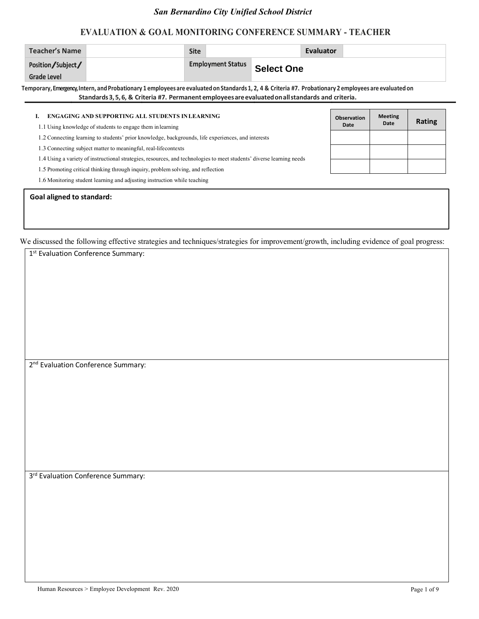### **EVALUATION & GOAL MONITORING CONFERENCE SUMMARY - TEACHER**

| <b>Teacher's Name</b> | <b>Site</b> |                          |            | Evaluator |  |
|-----------------------|-------------|--------------------------|------------|-----------|--|
| Position/Subject/     |             | <b>Employment Status</b> | Select One |           |  |
| Grade Level           |             |                          |            |           |  |

**Temporary, Emergency, Intern, andProbationary 1 employees are evaluatedon Standards 1, 2, 4 & Criteria #7. Probationary 2 employees are evaluated on Standards3,5,6, & Criteria #7. Permanent employeesareevaluatedonallstandards and criteria.**

| <b>ENGAGING AND SUPPORTING ALL STUDENTS INLEARNING</b><br>1.1 Using knowledge of students to engage them in learning  | <b>Observation</b><br>Date | <b>Meeting</b><br>Date | Rating |
|-----------------------------------------------------------------------------------------------------------------------|----------------------------|------------------------|--------|
| .2 Connecting learning to students' prior knowledge, backgrounds, life experiences, and interests                     |                            |                        |        |
| .3 Connecting subject matter to meaningful, real-lifecontexts                                                         |                            |                        |        |
| 1.4 Using a variety of instructional strategies, resources, and technologies to meet students' diverse learning needs |                            |                        |        |
| .5 Promoting critical thinking through inquiry, problem solving, and reflection                                       |                            |                        |        |
| 1.6 Monitoring student learning and adjusting instruction while teaching                                              |                            |                        |        |

#### **Goal aligned to standard:**

| 1st Evaluation Conference Summary:             |
|------------------------------------------------|
|                                                |
|                                                |
|                                                |
|                                                |
|                                                |
|                                                |
|                                                |
|                                                |
|                                                |
| 2 <sup>nd</sup> Evaluation Conference Summary: |
|                                                |
|                                                |
|                                                |
|                                                |
|                                                |
|                                                |
|                                                |
|                                                |
| 3 <sup>rd</sup> Evaluation Conference Summary: |
|                                                |
|                                                |
|                                                |
|                                                |
|                                                |
|                                                |
|                                                |
|                                                |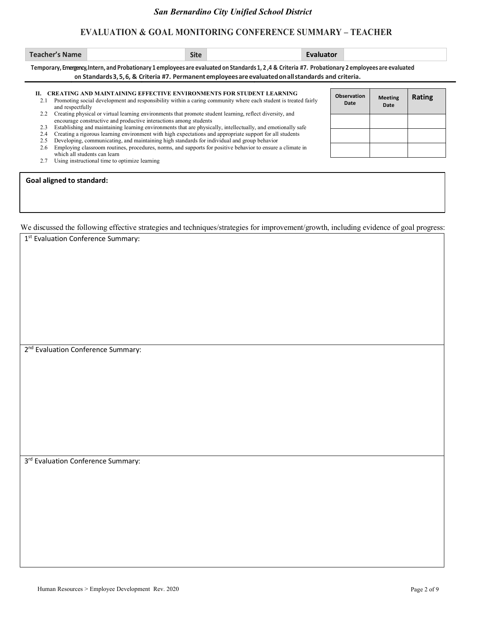| Teacher's Name | <b>Site</b>                                                                                                                                        | Evaluator |  |
|----------------|----------------------------------------------------------------------------------------------------------------------------------------------------|-----------|--|
|                | Temporary, Emergency, Intern, and Probationary 1 employees are evaluated on Standards 1, 2,4 & Criteria #7. Probationary 2 employees are evaluated |           |  |

|  |  |  | on Standards 3, 5, 6, & Criteria #7. Permanent employees are evaluated on all standards and criteria. |  |  |
|--|--|--|-------------------------------------------------------------------------------------------------------|--|--|

| II. CREATING AND MAINTAINING EFFECTIVE ENVIRONMENTS FOR STUDENT LEARNING<br>Promoting social development and responsibility within a caring community where each student is treated fairly<br>and respectfully | <b>Observation</b><br>Date | <b>Meeting</b><br>Date |
|----------------------------------------------------------------------------------------------------------------------------------------------------------------------------------------------------------------|----------------------------|------------------------|

| .<br>2.2 Creating physical or virtual learning environments that promote student learning, reflect diversity, and |  |
|-------------------------------------------------------------------------------------------------------------------|--|
| encourage constructive and productive interactions among students                                                 |  |

| encourage constructive and productive interactions among students                                                |  |  |  |  |
|------------------------------------------------------------------------------------------------------------------|--|--|--|--|
| 2.3 Establishing and maintaining learning environments that are physically, intellectually, and emotionally safe |  |  |  |  |

| 2.6 Employing classroom routines, procedures, norms, and supports for positive behavior to ensure a climate in |
|----------------------------------------------------------------------------------------------------------------|
| which all students can learn                                                                                   |
|                                                                                                                |

| 2.7 | Using instructional time to optimize learning |  |  |
|-----|-----------------------------------------------|--|--|
|     |                                               |  |  |

|  |  |  | <b>Goal aligned to standard:</b> |
|--|--|--|----------------------------------|
|--|--|--|----------------------------------|

We discussed the following effective strategies and techniques/strategies for improvement/growth, including evidence of goal progress:

| 1st Evaluation Conference Summary:             |  |  |  |
|------------------------------------------------|--|--|--|
|                                                |  |  |  |
|                                                |  |  |  |
|                                                |  |  |  |
|                                                |  |  |  |
|                                                |  |  |  |
|                                                |  |  |  |
| 2 <sup>nd</sup> Evaluation Conference Summary: |  |  |  |
|                                                |  |  |  |
|                                                |  |  |  |
|                                                |  |  |  |
|                                                |  |  |  |
|                                                |  |  |  |
|                                                |  |  |  |
|                                                |  |  |  |
| 3rd Evaluation Conference Summary:             |  |  |  |
|                                                |  |  |  |
|                                                |  |  |  |
|                                                |  |  |  |
|                                                |  |  |  |

**Date**

**Rating**

<sup>2.4</sup> Creating a rigorous learning environment with high expectations and appropriate support for all students

port <del>k</del> **Rating** 2.5 Developing, communicating, and maintaining high standards for individual and group behavior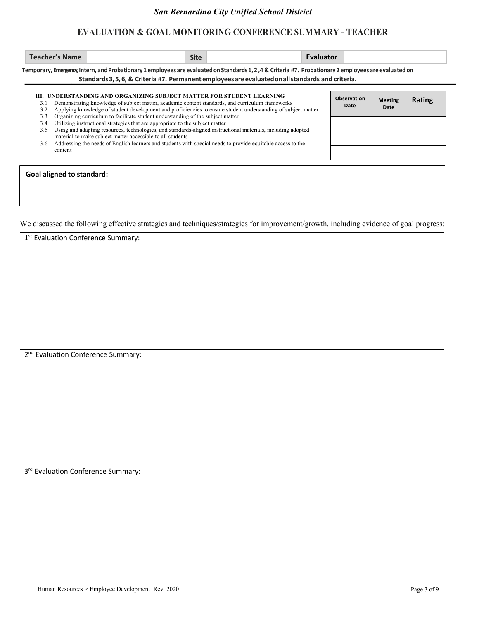## **EVALUATION & GOAL MONITORING CONFERENCE SUMMARY - TEACHER**

| <b>Site</b><br>me<br>1 LOT |
|----------------------------|
|----------------------------|

**Temporary, Emergency, Intern, andProbationary 1 employees are evaluatedon Standards 1, 2 ,4 & Criteria #7. Probationary 2 employees are evaluated on Standards3,5,6, & Criteria #7. Permanent employeesareevaluatedonallstandards and criteria.**

| 3.1<br>3.2        | III.   UNDERSTANDING AND ORGANIZING SUBJECT MATTER FOR STUDENT LEARNING<br>Demonstrating knowledge of subject matter, academic content standards, and curriculum frameworks<br>Applying knowledge of student development and proficiencies to ensure student understanding of subject matter | <b>Observation</b><br>Date | <b>Meeting</b><br>Date | <b>Rating</b> |
|-------------------|----------------------------------------------------------------------------------------------------------------------------------------------------------------------------------------------------------------------------------------------------------------------------------------------|----------------------------|------------------------|---------------|
| 3.3<br>3.4<br>3.5 | Organizing curriculum to facilitate student understanding of the subject matter<br>Utilizing instructional strategies that are appropriate to the subject matter<br>Using and adapting resources, technologies, and standards-aligned instructional materials, including adopted             |                            |                        |               |
| 3.6               | material to make subject matter accessible to all students<br>Addressing the needs of English learners and students with special needs to provide equitable access to the                                                                                                                    |                            |                        |               |
|                   | content                                                                                                                                                                                                                                                                                      |                            |                        |               |

#### **Goal aligned to standard:**

| 1st Evaluation Conference Summary:             |
|------------------------------------------------|
|                                                |
|                                                |
|                                                |
|                                                |
|                                                |
|                                                |
|                                                |
|                                                |
|                                                |
|                                                |
|                                                |
|                                                |
|                                                |
|                                                |
|                                                |
|                                                |
|                                                |
|                                                |
|                                                |
| 2 <sup>nd</sup> Evaluation Conference Summary: |
|                                                |
|                                                |
|                                                |
|                                                |
|                                                |
|                                                |
|                                                |
|                                                |
|                                                |
|                                                |
|                                                |
|                                                |
|                                                |
|                                                |
|                                                |
|                                                |
|                                                |
|                                                |
|                                                |
| 3rd Evaluation Conference Summary:             |
|                                                |
|                                                |
|                                                |
|                                                |
|                                                |
|                                                |
|                                                |
|                                                |
|                                                |
|                                                |
|                                                |
|                                                |
|                                                |
|                                                |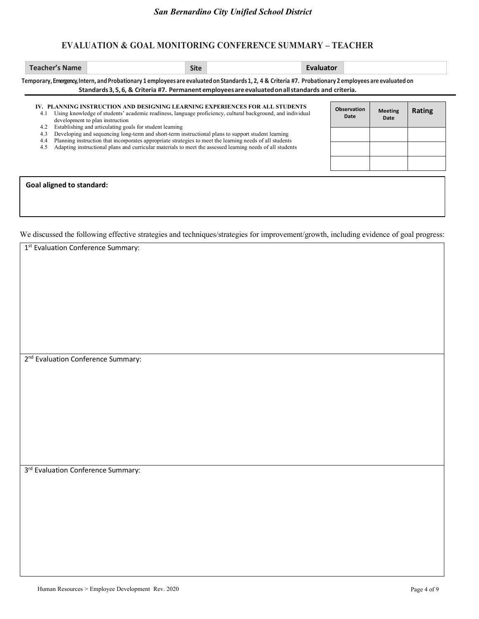|                                                                                                                                | Temporary, Emergency, Intern, and Probationary 1 employees are evaluated on Standards 1, 2, 4 & Criteria #7. Probationary 2 employees are evaluated on<br>Standards 3, 5, 6, & Criteria #7. Permanent employees are evaluated on all standards and criteria.                                                                                                                                                                                                                                                              |                            |                        |        |
|--------------------------------------------------------------------------------------------------------------------------------|---------------------------------------------------------------------------------------------------------------------------------------------------------------------------------------------------------------------------------------------------------------------------------------------------------------------------------------------------------------------------------------------------------------------------------------------------------------------------------------------------------------------------|----------------------------|------------------------|--------|
| 4.1<br>development to plan instruction<br>Establishing and articulating goals for student learning<br>4.2<br>4.3<br>4.4<br>4.5 | IV. PLANNING INSTRUCTION AND DESIGNING LEARNING EXPERIENCES FOR ALL STUDENTS<br>Using knowledge of students' academic readiness, language proficiency, cultural background, and individual<br>Developing and sequencing long-term and short-term instructional plans to support student learning<br>Planning instruction that incorporates appropriate strategies to meet the learning needs of all students<br>Adapting instructional plans and curricular materials to meet the assessed learning needs of all students | <b>Observation</b><br>Date | <b>Meeting</b><br>Date | Rating |
| <b>Goal aligned to standard:</b>                                                                                               |                                                                                                                                                                                                                                                                                                                                                                                                                                                                                                                           |                            |                        |        |

| 1st Evaluation Conference Summary:             |
|------------------------------------------------|
|                                                |
|                                                |
|                                                |
|                                                |
|                                                |
|                                                |
|                                                |
|                                                |
|                                                |
|                                                |
| 2 <sup>nd</sup> Evaluation Conference Summary: |
|                                                |
|                                                |
|                                                |
|                                                |
|                                                |
|                                                |
|                                                |
|                                                |
|                                                |
| 3rd Evaluation Conference Summary:             |
|                                                |
|                                                |
|                                                |
|                                                |
|                                                |
|                                                |
|                                                |
|                                                |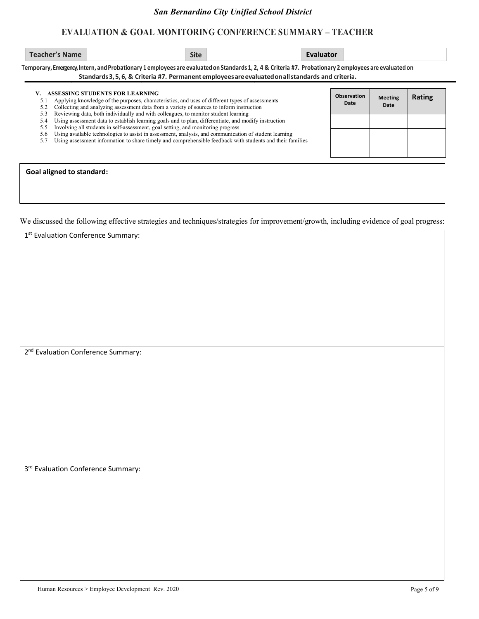| Teacher's Name | Site | Evaluator |
|----------------|------|-----------|
|----------------|------|-----------|

**Temporary, Emergency, Intern, andProbationary 1 employees are evaluatedon Standards 1, 2, 4 & Criteria #7. Probationary 2 employees are evaluated on Standards3,5,6, & Criteria #7. Permanent employeesareevaluatedonallstandards and criteria.**

| 5.1<br>5.2 | ASSESSING STUDENTS FOR LEARNING<br>Applying knowledge of the purposes, characteristics, and uses of different types of assessments<br>Collecting and analyzing assessment data from a variety of sources to inform instruction | Observation<br>Date | <b>Meeting</b><br>Date | Rating |  |  |  |
|------------|--------------------------------------------------------------------------------------------------------------------------------------------------------------------------------------------------------------------------------|---------------------|------------------------|--------|--|--|--|
| 5.3<br>5.4 | Reviewing data, both individually and with colleagues, to monitor student learning<br>Using assessment data to establish learning goals and to plan, differentiate, and modify instruction                                     |                     |                        |        |  |  |  |
| 5.5        | Involving all students in self-assessment, goal setting, and monitoring progress                                                                                                                                               |                     |                        |        |  |  |  |
| 5.6        | Using available technologies to assist in assessment, analysis, and communication of student learning                                                                                                                          |                     |                        |        |  |  |  |
| 5.7        | Using assessment information to share timely and comprehensible feedback with students and their families                                                                                                                      |                     |                        |        |  |  |  |
|            |                                                                                                                                                                                                                                |                     |                        |        |  |  |  |
|            |                                                                                                                                                                                                                                |                     |                        |        |  |  |  |
|            |                                                                                                                                                                                                                                |                     |                        |        |  |  |  |
|            | Goal aligned to standard:                                                                                                                                                                                                      |                     |                        |        |  |  |  |

| 1st Evaluation Conference Summary:             |
|------------------------------------------------|
|                                                |
|                                                |
|                                                |
|                                                |
|                                                |
|                                                |
|                                                |
|                                                |
|                                                |
|                                                |
| 2 <sup>nd</sup> Evaluation Conference Summary: |
|                                                |
|                                                |
|                                                |
|                                                |
|                                                |
|                                                |
|                                                |
|                                                |
|                                                |
| 3rd Evaluation Conference Summary:             |
|                                                |
|                                                |
|                                                |
|                                                |
|                                                |
|                                                |
|                                                |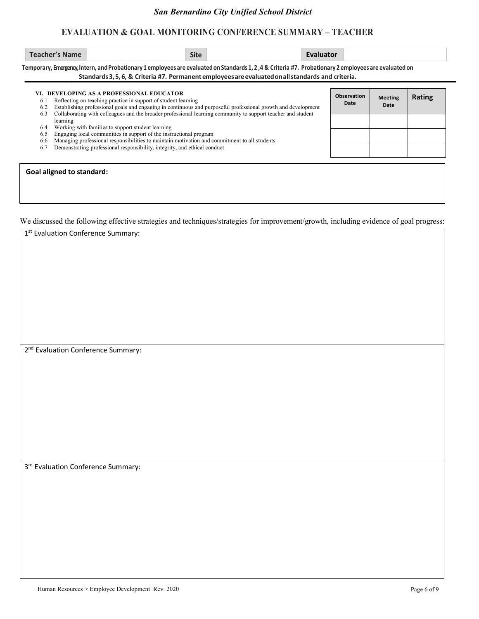| <b>Teacher's Name</b> | <b>Site</b> | zvaluator |
|-----------------------|-------------|-----------|
|-----------------------|-------------|-----------|

**Temporary, Emergency, Intern, andProbationary 1 employees are evaluatedon Standards 1, 2 ,4 & Criteria #7. Probationary 2 employees are evaluated on Standards3,5,6, & Criteria #7. Permanent employeesareevaluatedonallstandards and criteria.**

| 6.1<br>6.2 | VI. DEVELOPING AS A PROFESSIONAL EDUCATOR<br>Reflecting on teaching practice in support of student learning<br>Establishing professional goals and engaging in continuous and purposeful professional growth and development |  | <b>Meeting</b><br>Date | Rating |  |  |  |  |
|------------|------------------------------------------------------------------------------------------------------------------------------------------------------------------------------------------------------------------------------|--|------------------------|--------|--|--|--|--|
| 6.3        | Collaborating with colleagues and the broader professional learning community to support teacher and student<br>learning                                                                                                     |  |                        |        |  |  |  |  |
| 6.4        | Working with families to support student learning                                                                                                                                                                            |  |                        |        |  |  |  |  |
| 6.5        | Engaging local communities in support of the instructional program                                                                                                                                                           |  |                        |        |  |  |  |  |
| 6.6        | Managing professional responsibilities to maintain motivation and commitment to all students                                                                                                                                 |  |                        |        |  |  |  |  |
| 6.7        | Demonstrating professional responsibility, integrity, and ethical conduct                                                                                                                                                    |  |                        |        |  |  |  |  |
|            | Goal aligned to standard:                                                                                                                                                                                                    |  |                        |        |  |  |  |  |

| 1st Evaluation Conference Summary:             |
|------------------------------------------------|
|                                                |
|                                                |
|                                                |
|                                                |
|                                                |
|                                                |
|                                                |
|                                                |
|                                                |
|                                                |
|                                                |
| 2 <sup>nd</sup> Evaluation Conference Summary: |
|                                                |
|                                                |
|                                                |
|                                                |
|                                                |
|                                                |
|                                                |
|                                                |
|                                                |
|                                                |
|                                                |
| 3rd Evaluation Conference Summary:             |
|                                                |
|                                                |
|                                                |
|                                                |
|                                                |
|                                                |
|                                                |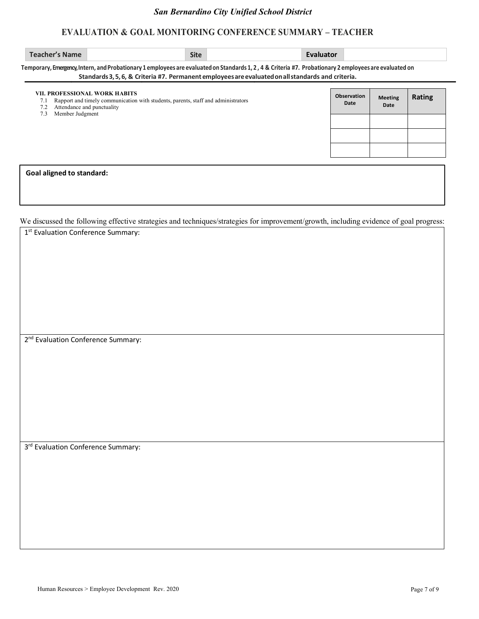| <b>Teacher's Name</b>            |                                                                                                                                                                                                                                                              | <b>Site</b> | Evaluator |                            |                        |        |
|----------------------------------|--------------------------------------------------------------------------------------------------------------------------------------------------------------------------------------------------------------------------------------------------------------|-------------|-----------|----------------------------|------------------------|--------|
|                                  | Temporary, Emergency, Intern, and Probationary 1 employees are evaluated on Standards 1, 2, 4 & Criteria #7. Probationary 2 employees are evaluated on<br>Standards 3, 5, 6, & Criteria #7. Permanent employees are evaluated on all standards and criteria. |             |           |                            |                        |        |
| 7.1<br>7.3                       | VII. PROFESSIONAL WORK HABITS<br>Rapport and timely communication with students, parents, staff and administrators<br>Attendance and punctuality<br>Member Judgment                                                                                          |             |           | <b>Observation</b><br>Date | <b>Meeting</b><br>Date | Rating |
|                                  |                                                                                                                                                                                                                                                              |             |           |                            |                        |        |
|                                  |                                                                                                                                                                                                                                                              |             |           |                            |                        |        |
| <b>Goal aligned to standard:</b> |                                                                                                                                                                                                                                                              |             |           |                            |                        |        |

|                                                |  |  |  |  | ÷ |
|------------------------------------------------|--|--|--|--|---|
| 1st Evaluation Conference Summary:             |  |  |  |  |   |
|                                                |  |  |  |  |   |
|                                                |  |  |  |  |   |
|                                                |  |  |  |  |   |
|                                                |  |  |  |  |   |
|                                                |  |  |  |  |   |
|                                                |  |  |  |  |   |
|                                                |  |  |  |  |   |
|                                                |  |  |  |  |   |
| 2 <sup>nd</sup> Evaluation Conference Summary: |  |  |  |  |   |
|                                                |  |  |  |  |   |
|                                                |  |  |  |  |   |
|                                                |  |  |  |  |   |
|                                                |  |  |  |  |   |
|                                                |  |  |  |  |   |
|                                                |  |  |  |  |   |
|                                                |  |  |  |  |   |
| 3rd Evaluation Conference Summary:             |  |  |  |  |   |
|                                                |  |  |  |  |   |
|                                                |  |  |  |  |   |
|                                                |  |  |  |  |   |
|                                                |  |  |  |  |   |
|                                                |  |  |  |  |   |
|                                                |  |  |  |  |   |
|                                                |  |  |  |  |   |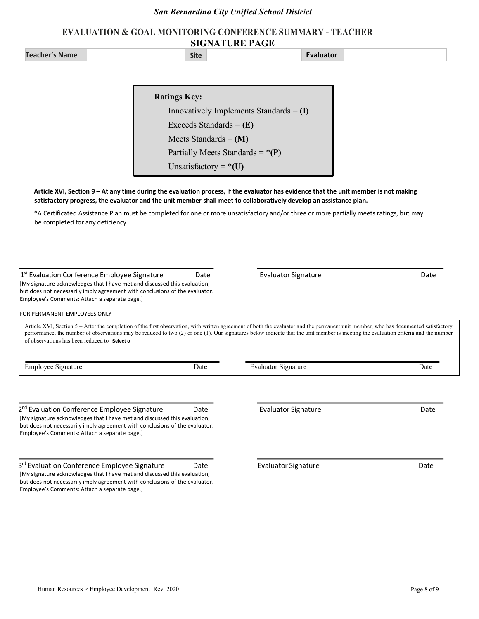### **EVALUATION & GOAL MONITORING CONFERENCE SUMMARY - TEACHER SIGNATURE PAGE**

**Teacher's Name Evaluator**

**Article XVI, Section 9 – At any time during the evaluation process, if the evaluator has evidence that the unit member is not making satisfactory progress, the evaluator and the unit member shall meet to collaboratively develop an assistance plan.** 

\*A Certificated Assistance Plan must be completed for one or more unsatisfactory and/or three or more partially meets ratings, but may be completed for any deficiency.

| Employee's Comments: Attach a separate page.]<br>FOR PERMANENT EMPLOYEES ONLY                                                                                                                                                                                                                                                                                                                                              |      |                            |      |
|----------------------------------------------------------------------------------------------------------------------------------------------------------------------------------------------------------------------------------------------------------------------------------------------------------------------------------------------------------------------------------------------------------------------------|------|----------------------------|------|
| Article XVI, Section 5 – After the completion of the first observation, with written agreement of both the evaluator and the permanent unit member, who has documented satisfactory<br>performance, the number of observations may be reduced to two (2) or one (1). Our signatures below indicate that the unit member is meeting the evaluation criteria and the number<br>of observations has been reduced to Select of |      |                            |      |
| <b>Employee Signature</b>                                                                                                                                                                                                                                                                                                                                                                                                  | Date | <b>Evaluator Signature</b> | Date |
|                                                                                                                                                                                                                                                                                                                                                                                                                            |      |                            |      |
| 2 <sup>nd</sup> Evaluation Conference Employee Signature<br>[My signature acknowledges that I have met and discussed this evaluation,<br>but does not necessarily imply agreement with conclusions of the evaluator.<br>Employee's Comments: Attach a separate page.]                                                                                                                                                      | Date | Evaluator Signature        | Date |